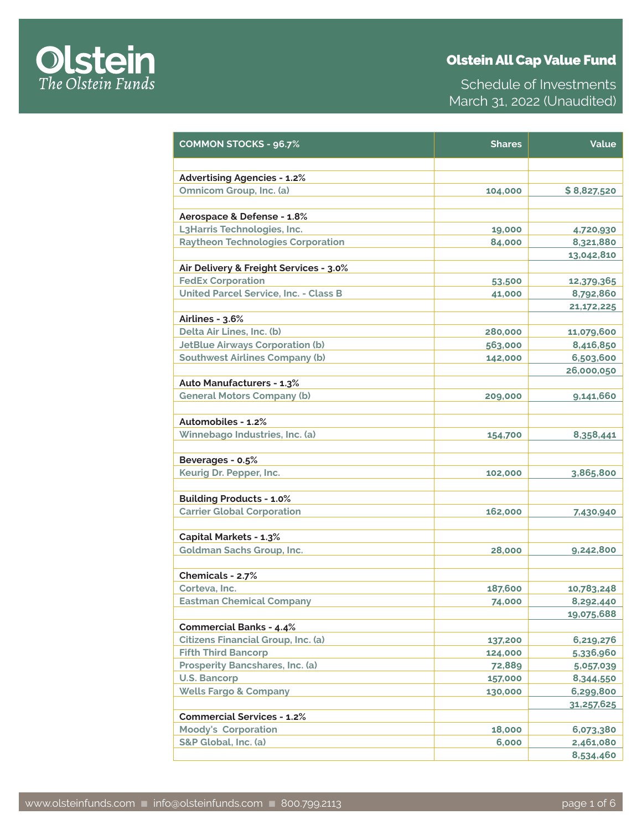

| <b>COMMON STOCKS - 96.7%</b>                 | <b>Shares</b> | Value        |
|----------------------------------------------|---------------|--------------|
|                                              |               |              |
| <b>Advertising Agencies - 1.2%</b>           |               |              |
| Omnicom Group, Inc. (a)                      | 104,000       | \$8,827,520  |
|                                              |               |              |
| Aerospace & Defense - 1.8%                   |               |              |
| L3Harris Technologies, Inc.                  | 19,000        | 4,720,930    |
| <b>Raytheon Technologies Corporation</b>     | 84,000        | 8,321,880    |
|                                              |               | 13,042,810   |
| Air Delivery & Freight Services - 3.0%       |               |              |
| <b>FedEx Corporation</b>                     | 53,500        | 12,379,365   |
| <b>United Parcel Service, Inc. - Class B</b> | 41,000        | 8,792,860    |
|                                              |               | 21, 172, 225 |
| Airlines - 3.6%                              |               |              |
| Delta Air Lines, Inc. (b)                    | 280,000       | 11,079,600   |
| <b>JetBlue Airways Corporation (b)</b>       | 563,000       | 8,416,850    |
| <b>Southwest Airlines Company (b)</b>        | 142,000       | 6,503,600    |
|                                              |               | 26,000,050   |
| <b>Auto Manufacturers - 1.3%</b>             |               |              |
| <b>General Motors Company (b)</b>            | 209,000       | 9,141,660    |
|                                              |               |              |
| Automobiles - 1.2%                           |               |              |
| Winnebago Industries, Inc. (a)               | 154,700       | 8,358,441    |
|                                              |               |              |
| Beverages - 0.5%                             |               |              |
| Keurig Dr. Pepper, Inc.                      | 102,000       | 3,865,800    |
|                                              |               |              |
| <b>Building Products - 1.0%</b>              |               |              |
| <b>Carrier Global Corporation</b>            | 162,000       | 7,430,940    |
|                                              |               |              |
| <b>Capital Markets - 1.3%</b>                |               |              |
| <b>Goldman Sachs Group, Inc.</b>             | 28,000        | 9,242,800    |
|                                              |               |              |
| Chemicals - 2.7%                             |               |              |
| Corteva, Inc.                                | 187,600       | 10,783,248   |
| <b>Eastman Chemical Company</b>              | 74,000        | 8,292,440    |
|                                              |               | 19,075,688   |
| <b>Commercial Banks - 4.4%</b>               |               |              |
| <b>Citizens Financial Group, Inc. (a)</b>    | 137,200       | 6,219,276    |
| <b>Fifth Third Bancorp</b>                   | 124,000       | 5,336,960    |
| Prosperity Bancshares, Inc. (a)              | 72,889        | 5,057,039    |
| U.S. Bancorp                                 | 157,000       | 8,344,550    |
| <b>Wells Fargo &amp; Company</b>             | 130,000       | 6,299,800    |
|                                              |               | 31,257,625   |
| <b>Commercial Services - 1.2%</b>            |               |              |
| <b>Moody's Corporation</b>                   | 18,000        | 6,073,380    |
| S&P Global, Inc. (a)                         | 6,000         | 2,461,080    |
|                                              |               | 8,534,460    |

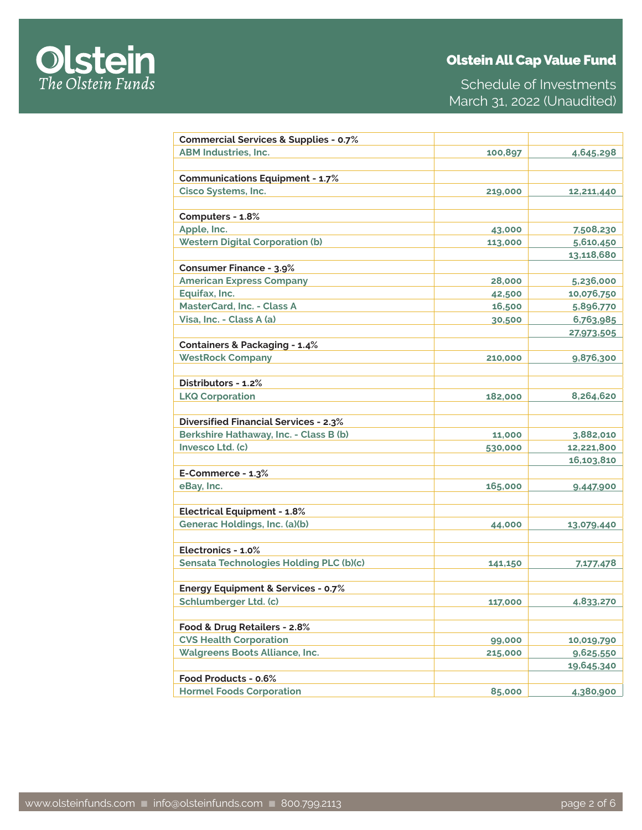

Schedule of Investments March 31, 2022 (Unaudited)

| <b>Commercial Services &amp; Supplies - 0.7%</b> |         |            |
|--------------------------------------------------|---------|------------|
| <b>ABM Industries, Inc.</b>                      | 100,897 | 4,645,298  |
|                                                  |         |            |
| <b>Communications Equipment - 1.7%</b>           |         |            |
| <b>Cisco Systems, Inc.</b>                       | 219,000 | 12,211,440 |
|                                                  |         |            |
| Computers - 1.8%                                 |         |            |
| Apple, Inc.                                      | 43,000  | 7,508,230  |
| <b>Western Digital Corporation (b)</b>           | 113,000 | 5,610,450  |
|                                                  |         | 13,118,680 |
| <b>Consumer Finance - 3.9%</b>                   |         |            |
| <b>American Express Company</b>                  | 28,000  | 5,236,000  |
| Equifax, Inc.                                    | 42,500  | 10,076,750 |
| MasterCard, Inc. - Class A                       | 16,500  | 5,896,770  |
| Visa, Inc. - Class A (a)                         | 30,500  | 6,763,985  |
|                                                  |         | 27,973,505 |
| <b>Containers &amp; Packaging - 1.4%</b>         |         |            |
| <b>WestRock Company</b>                          | 210,000 | 9,876,300  |
|                                                  |         |            |
| Distributors - 1.2%                              |         |            |
| <b>LKQ Corporation</b>                           | 182,000 | 8,264,620  |
|                                                  |         |            |
| <b>Diversified Financial Services - 2.3%</b>     |         |            |
| Berkshire Hathaway, Inc. - Class B (b)           | 11,000  | 3,882,010  |
| Invesco Ltd. (c)                                 | 530,000 | 12,221,800 |
|                                                  |         | 16,103,810 |
| E-Commerce - 1.3%                                |         |            |
| eBay, Inc.                                       | 165,000 | 9,447,900  |
|                                                  |         |            |
| <b>Electrical Equipment - 1.8%</b>               |         |            |
| Generac Holdings, Inc. (a)(b)                    | 44,000  | 13,079,440 |
|                                                  |         |            |
| Electronics - 1.0%                               |         |            |
| <b>Sensata Technologies Holding PLC (b)(c)</b>   | 141,150 | 7,177,478  |
|                                                  |         |            |
| <b>Energy Equipment &amp; Services - 0.7%</b>    |         |            |
| <b>Schlumberger Ltd. (c)</b>                     | 117,000 | 4,833,270  |
|                                                  |         |            |
| Food & Drug Retailers - 2.8%                     |         |            |
| <b>CVS Health Corporation</b>                    | 99,000  | 10,019,790 |
| <b>Walgreens Boots Alliance, Inc.</b>            | 215,000 | 9,625,550  |
|                                                  |         | 19,645,340 |
| Food Products - 0.6%                             |         |            |
| <b>Hormel Foods Corporation</b>                  | 85,000  | 4,380,900  |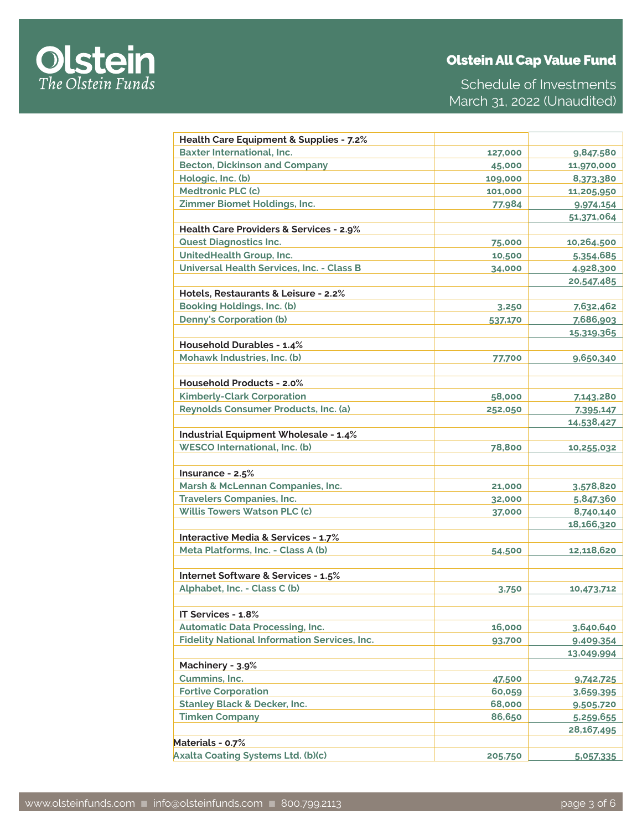

Schedule of Investments March 31, 2022 (Unaudited)

| Health Care Equipment & Supplies - 7.2%             |         |            |
|-----------------------------------------------------|---------|------------|
| <b>Baxter International, Inc.</b>                   | 127,000 | 9,847,580  |
| <b>Becton, Dickinson and Company</b>                | 45,000  | 11,970,000 |
| Hologic, Inc. (b)                                   | 109,000 | 8,373,380  |
| <b>Medtronic PLC (c)</b>                            | 101,000 | 11,205,950 |
| Zimmer Biomet Holdings, Inc.                        | 77,984  | 9,974,154  |
|                                                     |         | 51,371,064 |
| Health Care Providers & Services - 2.9%             |         |            |
| <b>Quest Diagnostics Inc.</b>                       | 75,000  | 10,264,500 |
| <b>UnitedHealth Group, Inc.</b>                     | 10,500  | 5,354,685  |
| <b>Universal Health Services, Inc. - Class B</b>    | 34,000  | 4,928,300  |
|                                                     |         | 20,547,485 |
| Hotels, Restaurants & Leisure - 2.2%                |         |            |
| <b>Booking Holdings, Inc. (b)</b>                   | 3,250   | 7,632,462  |
| <b>Denny's Corporation (b)</b>                      | 537,170 | 7,686,903  |
|                                                     |         | 15,319,365 |
| <b>Household Durables - 1.4%</b>                    |         |            |
| Mohawk Industries, Inc. (b)                         | 77,700  | 9,650,340  |
|                                                     |         |            |
| <b>Household Products - 2.0%</b>                    |         |            |
| <b>Kimberly-Clark Corporation</b>                   | 58,000  | 7,143,280  |
| Reynolds Consumer Products, Inc. (a)                | 252,050 | 7,395,147  |
|                                                     |         | 14,538,427 |
| <b>Industrial Equipment Wholesale - 1.4%</b>        |         |            |
| <b>WESCO International, Inc. (b)</b>                | 78,800  | 10,255,032 |
|                                                     |         |            |
| Insurance - $2.5%$                                  |         |            |
| Marsh & McLennan Companies, Inc.                    | 21,000  | 3,578,820  |
| <b>Travelers Companies, Inc.</b>                    | 32,000  | 5,847,360  |
| <b>Willis Towers Watson PLC (c)</b>                 | 37,000  | 8,740,140  |
|                                                     |         | 18,166,320 |
| <b>Interactive Media &amp; Services - 1.7%</b>      |         |            |
| Meta Platforms, Inc. - Class A (b)                  | 54,500  | 12,118,620 |
|                                                     |         |            |
| Internet Software & Services - 1.5%                 |         |            |
| Alphabet, Inc. - Class C (b)                        | 3,750   | 10,473,712 |
|                                                     |         |            |
| IT Services - 1.8%                                  |         |            |
| <b>Automatic Data Processing, Inc.</b>              | 16,000  | 3,640,640  |
| <b>Fidelity National Information Services, Inc.</b> | 93,700  | 9,409,354  |
|                                                     |         | 13,049,994 |
| Machinery - 3.9%                                    |         |            |
| Cummins, Inc.                                       | 47,500  | 9,742,725  |
| <b>Fortive Corporation</b>                          | 60,059  | 3,659,395  |
| <b>Stanley Black &amp; Decker, Inc.</b>             | 68,000  | 9,505,720  |
| <b>Timken Company</b>                               | 86,650  | 5,259,655  |
|                                                     |         | 28,167,495 |
| Materials - 0.7%                                    |         |            |
| <b>Axalta Coating Systems Ltd. (b)(c)</b>           | 205,750 | 5,057,335  |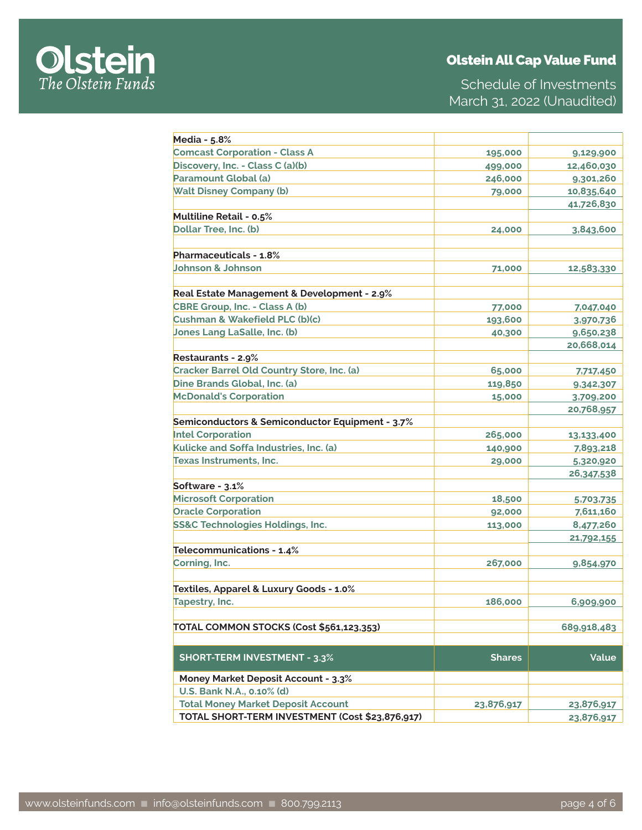

Schedule of Investments March 31, 2022 (Unaudited)

| <b>Media - 5.8%</b>                             |               |                        |
|-------------------------------------------------|---------------|------------------------|
| <b>Comcast Corporation - Class A</b>            | 195,000       | 9,129,900              |
| Discovery, Inc. - Class C (a)(b)                | 499,000       | 12,460,030             |
| Paramount Global (a)                            | 246,000       | 9,301,260              |
| <b>Walt Disney Company (b)</b>                  | 79,000        | 10,835,640             |
|                                                 |               | 41,726,830             |
| Multiline Retail - 0.5%                         |               |                        |
| Dollar Tree, Inc. (b)                           | 24,000        | 3,843,600              |
|                                                 |               |                        |
| <b>Pharmaceuticals - 1.8%</b>                   |               |                        |
| <b>Johnson &amp; Johnson</b>                    | 71,000        | 12,583,330             |
|                                                 |               |                        |
| Real Estate Management & Development - 2.9%     |               |                        |
| CBRE Group, Inc. - Class A (b)                  | 77,000        | 7,047,040              |
| Cushman & Wakefield PLC (b)(c)                  | 193,600       | 3,970,736              |
| <b>Jones Lang LaSalle, Inc. (b)</b>             | 40,300        | 9,650,238              |
|                                                 |               | 20,668,014             |
| Restaurants - 2.9%                              |               |                        |
| Cracker Barrel Old Country Store, Inc. (a)      | 65,000        | 7,717,450              |
| Dine Brands Global, Inc. (a)                    | 119,850       | 9,342,307              |
| <b>McDonald's Corporation</b>                   | 15,000        | 3,709,200              |
|                                                 |               | 20,768,957             |
| Semiconductors & Semiconductor Equipment - 3.7% |               |                        |
| <b>Intel Corporation</b>                        | 265,000       | 13,133,400             |
| Kulicke and Soffa Industries, Inc. (a)          | 140,900       | 7,893,218              |
| <b>Texas Instruments, Inc.</b>                  | 29,000        | 5,320,920              |
|                                                 |               | 26,347,538             |
| Software - 3.1%                                 |               |                        |
| <b>Microsoft Corporation</b>                    | 18,500        |                        |
| <b>Oracle Corporation</b>                       |               | 5,703,735<br>7,611,160 |
| SS&C Technologies Holdings, Inc.                | 92,000        |                        |
|                                                 | 113,000       | 8,477,260              |
|                                                 |               | 21,792,155             |
| Telecommunications - 1.4%                       |               |                        |
| Corning, Inc.                                   | 267,000       | 9,854,970              |
|                                                 |               |                        |
| Textiles, Apparel & Luxury Goods - 1.0%         |               |                        |
| Tapestry, Inc.                                  | 186,000       | 6,909,900              |
|                                                 |               |                        |
| TOTAL COMMON STOCKS (Cost \$561,123,353)        |               | 689,918,483            |
|                                                 |               |                        |
| <b>SHORT-TERM INVESTMENT - 3.3%</b>             | <b>Shares</b> | Value                  |
| <b>Money Market Deposit Account - 3.3%</b>      |               |                        |
| U.S. Bank N.A., 0.10% (d)                       |               |                        |
| <b>Total Money Market Deposit Account</b>       | 23,876,917    | 23,876,917             |
| TOTAL SHORT-TERM INVESTMENT (Cost \$23,876,917) |               | 23,876,917             |
|                                                 |               |                        |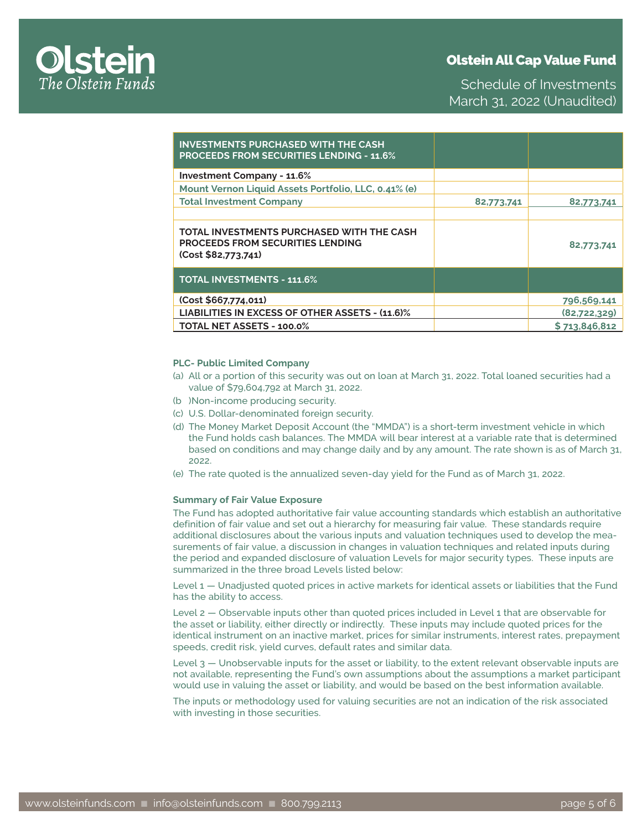

Schedule of Investments March 31, 2022 (Unaudited)

| <b>INVESTMENTS PURCHASED WITH THE CASH</b><br><b>PROCEEDS FROM SECURITIES LENDING - 11.6%</b>               |            |               |
|-------------------------------------------------------------------------------------------------------------|------------|---------------|
| <b>Investment Company - 11.6%</b>                                                                           |            |               |
| Mount Vernon Liquid Assets Portfolio, LLC, 0.41% (e)                                                        |            |               |
| <b>Total Investment Company</b>                                                                             | 82,773,741 | 82,773,741    |
|                                                                                                             |            |               |
| TOTAL INVESTMENTS PURCHASED WITH THE CASH<br><b>PROCEEDS FROM SECURITIES LENDING</b><br>(Cost \$82,773,741) |            | 82,773,741    |
| <b>TOTAL INVESTMENTS - 111.6%</b>                                                                           |            |               |
| (Cost \$667,774,011)                                                                                        |            | 796,569,141   |
| LIABILITIES IN EXCESS OF OTHER ASSETS - (11.6)%                                                             |            | (82,722,329)  |
| TOTAL NET ASSETS - 100.0%                                                                                   |            | \$713,846,812 |

### **PLC- Public Limited Company**

- (a) All or a portion of this security was out on loan at March 31, 2022. Total loaned securities had a value of \$79,604,792 at March 31, 2022.
- (b )Non-income producing security.
- (c) U.S. Dollar-denominated foreign security.
- (d) The Money Market Deposit Account (the "MMDA") is a short-term investment vehicle in which the Fund holds cash balances. The MMDA will bear interest at a variable rate that is determined based on conditions and may change daily and by any amount. The rate shown is as of March 31, 2022.
- (e) The rate quoted is the annualized seven-day yield for the Fund as of March 31, 2022.

#### **Summary of Fair Value Exposure**

The Fund has adopted authoritative fair value accounting standards which establish an authoritative definition of fair value and set out a hierarchy for measuring fair value. These standards require additional disclosures about the various inputs and valuation techniques used to develop the measurements of fair value, a discussion in changes in valuation techniques and related inputs during the period and expanded disclosure of valuation Levels for major security types. These inputs are summarized in the three broad Levels listed below:

Level 1 — Unadjusted quoted prices in active markets for identical assets or liabilities that the Fund has the ability to access.

Level 2 — Observable inputs other than quoted prices included in Level 1 that are observable for the asset or liability, either directly or indirectly. These inputs may include quoted prices for the identical instrument on an inactive market, prices for similar instruments, interest rates, prepayment speeds, credit risk, yield curves, default rates and similar data.

Level 3 — Unobservable inputs for the asset or liability, to the extent relevant observable inputs are not available, representing the Fund's own assumptions about the assumptions a market participant would use in valuing the asset or liability, and would be based on the best information available.

The inputs or methodology used for valuing securities are not an indication of the risk associated with investing in those securities.